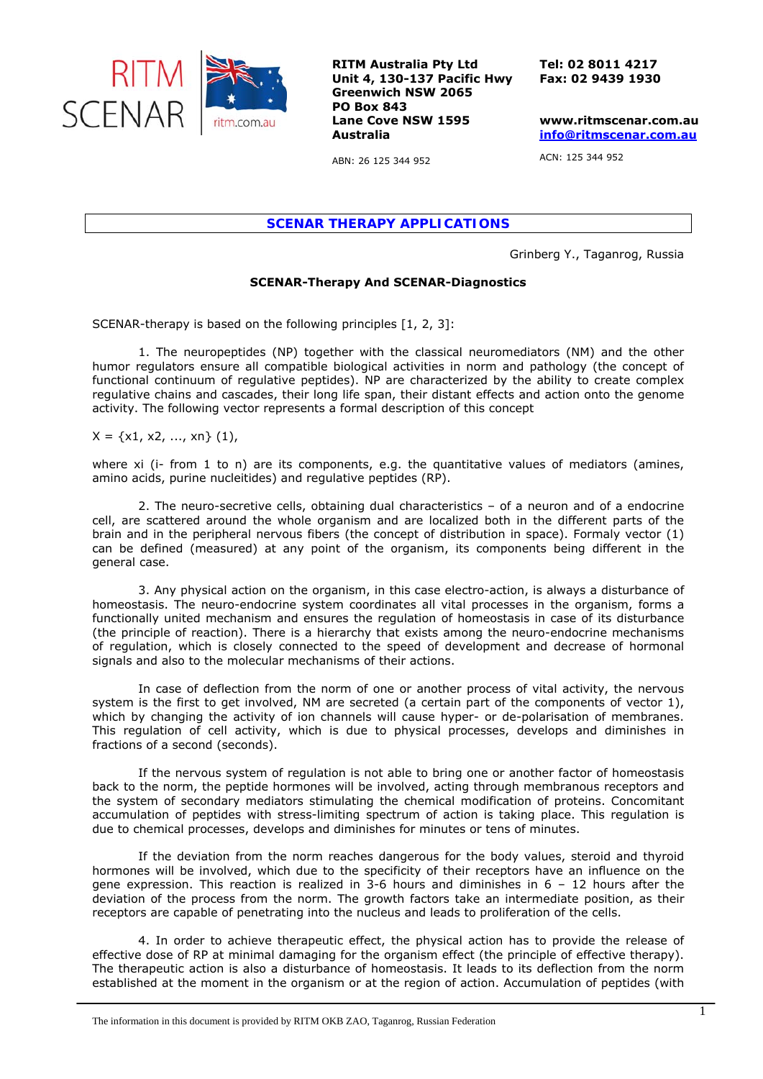

**RITM Australia Pty Ltd Unit 4, 130-137 Pacific Hwy Greenwich NSW 2065 PO Box 843 Lane Cove NSW 1595 Australia** 

**Tel: 02 8011 4217 Fax: 02 9439 1930** 

**www.ritmscenar.com.au [info@ritmscenar.com.au](mailto:info@ritmscenar.com.au)**

ACN: 125 344 952

ABN: 26 125 344 952

*SCENAR THERAPY APPLICATIONS* 

Grinberg Y., Taganrog, Russia

## **SCENAR-Therapy And SCENAR-Diagnostics**

SCENAR-therapy is based on the following principles [1, 2, 3]:

1. The neuropeptides (NP) together with the classical neuromediators (NM) and the other humor regulators ensure all compatible biological activities in norm and pathology (the concept of functional continuum of regulative peptides). NP are characterized by the ability to create complex regulative chains and cascades, their long life span, their distant effects and action onto the genome activity. The following vector represents a formal description of this concept

 $X = \{x1, x2, ..., xn\}$  (1),

where xi (i- from 1 to n) are its components, e.g. the quantitative values of mediators (amines, amino acids, purine nucleitides) and regulative peptides (RP).

2. The neuro-secretive cells, obtaining dual characteristics – of a neuron and of a endocrine cell, are scattered around the whole organism and are localized both in the different parts of the brain and in the peripheral nervous fibers (the concept of distribution in space). Formaly vector (1) can be defined (measured) at any point of the organism, its components being different in the general case.

3. Any physical action on the organism, in this case electro-action, is always a disturbance of homeostasis. The neuro-endocrine system coordinates all vital processes in the organism, forms a functionally united mechanism and ensures the regulation of homeostasis in case of its disturbance (the principle of reaction). There is a hierarchy that exists among the neuro-endocrine mechanisms of regulation, which is closely connected to the speed of development and decrease of hormonal signals and also to the molecular mechanisms of their actions.

In case of deflection from the norm of one or another process of vital activity, the nervous system is the first to get involved, NM are secreted (a certain part of the components of vector 1), which by changing the activity of ion channels will cause hyper- or de-polarisation of membranes. This regulation of cell activity, which is due to physical processes, develops and diminishes in fractions of a second (seconds).

If the nervous system of regulation is not able to bring one or another factor of homeostasis back to the norm, the peptide hormones will be involved, acting through membranous receptors and the system of secondary mediators stimulating the chemical modification of proteins. Concomitant accumulation of peptides with stress-limiting spectrum of action is taking place. This regulation is due to chemical processes, develops and diminishes for minutes or tens of minutes.

If the deviation from the norm reaches dangerous for the body values, steroid and thyroid hormones will be involved, which due to the specificity of their receptors have an influence on the gene expression. This reaction is realized in 3-6 hours and diminishes in 6 – 12 hours after the deviation of the process from the norm. The growth factors take an intermediate position, as their receptors are capable of penetrating into the nucleus and leads to proliferation of the cells.

4. In order to achieve therapeutic effect, the physical action has to provide the release of effective dose of RP at minimal damaging for the organism effect (the principle of effective therapy). The therapeutic action is also a disturbance of homeostasis. It leads to its deflection from the norm established at the moment in the organism or at the region of action. Accumulation of peptides (with

The information in this document is provided by RITM OKB ZAO, Taganrog, Russian Federation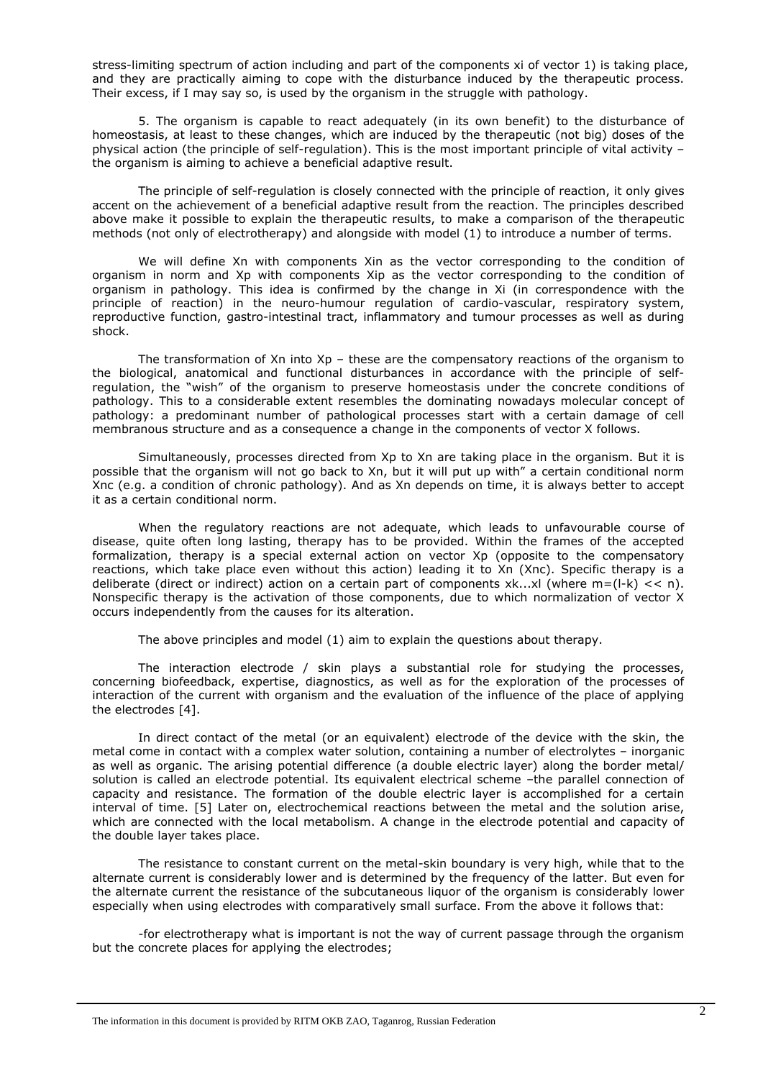stress-limiting spectrum of action including and part of the components хi of vector 1) is taking place, and they are practically aiming to cope with the disturbance induced by the therapeutic process. Their excess, if I may say so, is used by the organism in the struggle with pathology.

5. The organism is capable to react adequately (in its own benefit) to the disturbance of homeostasis, at least to these changes, which are induced by the therapeutic (not big) doses of the physical action (the principle of self-regulation). This is the most important principle of vital activity – the organism is aiming to achieve a beneficial adaptive result.

The principle of self-regulation is closely connected with the principle of reaction, it only gives accent on the achievement of a beneficial adaptive result from the reaction. The principles described above make it possible to explain the therapeutic results, to make a comparison of the therapeutic methods (not only of electrotherapy) and alongside with model (1) to introduce a number of terms.

We will define Хn with components Хin as the vector corresponding to the condition of organism in norm and Хp with components Хip as the vector corresponding to the condition of organism in pathology. This idea is confirmed by the change in Хi (in correspondence with the principle of reaction) in the neuro-humour regulation of cardio-vascular, respiratory system, reproductive function, gastro-intestinal tract, inflammatory and tumour processes as well as during shock.

The transformation of  $Xn$  into  $Xp -$  these are the compensatory reactions of the organism to the biological, anatomical and functional disturbances in accordance with the principle of selfregulation, the "wish" of the organism to preserve homeostasis under the concrete conditions of pathology. This to a considerable extent resembles the dominating nowadays molecular concept of pathology: a predominant number of pathological processes start with a certain damage of cell membranous structure and as a consequence a change in the components of vector Х follows.

Simultaneously, processes directed from Xp to Xn are taking place in the organism. But it is possible that the organism will not go back to Хn, but it will put up with" a certain conditional norm Хnc (e.g. a condition of chronic pathology). And as Хn depends on time, it is always better to accept it as a certain conditional norm.

When the regulatory reactions are not adequate, which leads to unfavourable course of disease, quite often long lasting, therapy has to be provided. Within the frames of the accepted formalization, therapy is a special external action on vector Xp (opposite to the compensatory reactions, which take place even without this action) leading it to Хn (Хnc). Specific therapy is a deliberate (direct or indirect) action on a certain part of components  $x^k$ ... $x^l$  (where m=(l-k) << n). Nonspecific therapy is the activation of those components, due to which normalization of vector Х occurs independently from the causes for its alteration.

The above principles and model (1) aim to explain the questions about therapy.

The interaction electrode / skin plays a substantial role for studying the processes, concerning biofeedback, expertise, diagnostics, as well as for the exploration of the processes of interaction of the current with organism and the evaluation of the influence of the place of applying the electrodes [4].

In direct contact of the metal (or an equivalent) electrode of the device with the skin, the metal come in contact with a complex water solution, containing a number of electrolytes – inorganic as well as organic. The arising potential difference (a double electric layer) along the border metal/ solution is called an electrode potential. Its equivalent electrical scheme –the parallel connection of capacity and resistance. The formation of the double electric layer is accomplished for a certain interval of time. [5] Later on, electrochemical reactions between the metal and the solution arise, which are connected with the local metabolism. A change in the electrode potential and capacity of the double layer takes place.

The resistance to constant current on the metal-skin boundary is very high, while that to the alternate current is considerably lower and is determined by the frequency of the latter. But even for the alternate current the resistance of the subcutaneous liquor of the organism is considerably lower especially when using electrodes with comparatively small surface. From the above it follows that:

-for electrotherapy what is important is not the way of current passage through the organism but the concrete places for applying the electrodes;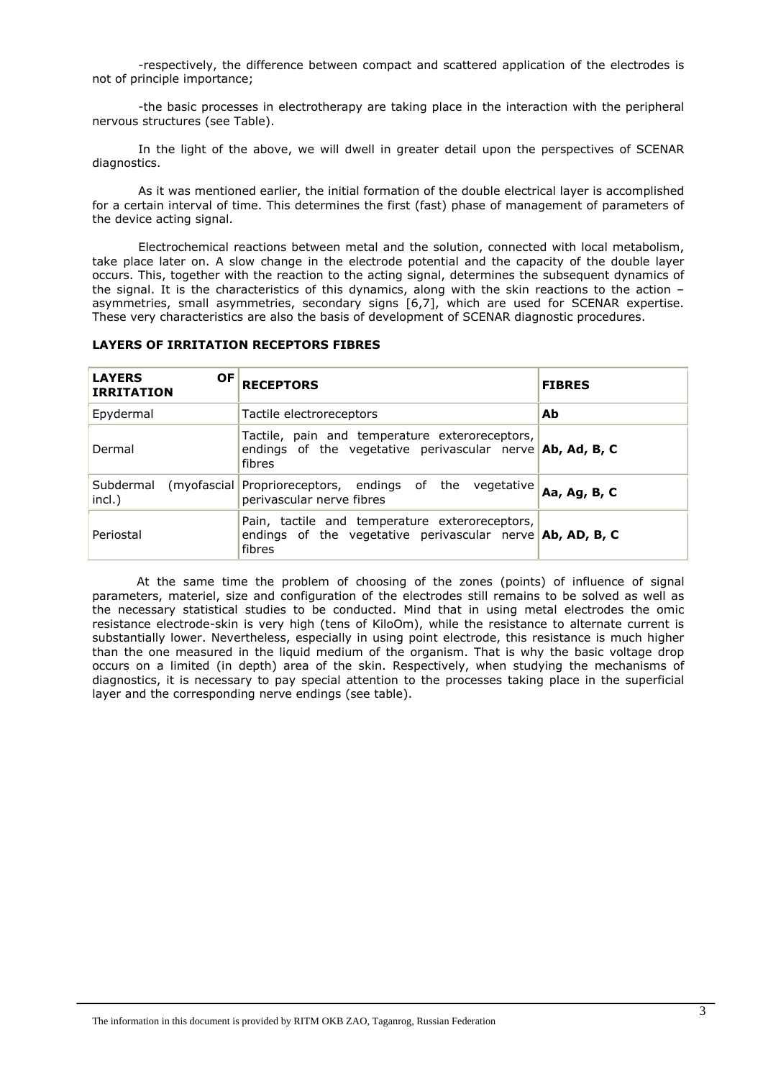-respectively, the difference between compact and scattered application of the electrodes is not of principle importance;

-the basic processes in electrotherapy are taking place in the interaction with the peripheral nervous structures (see Table).

In the light of the above, we will dwell in greater detail upon the perspectives of SCENAR diagnostics.

As it was mentioned earlier, the initial formation of the double electrical layer is accomplished for a certain interval of time. This determines the first (fast) phase of management of parameters of the device acting signal.

Electrochemical reactions between metal and the solution, connected with local metabolism, take place later on. A slow change in the electrode potential and the capacity of the double layer occurs. This, together with the reaction to the acting signal, determines the subsequent dynamics of the signal. It is the characteristics of this dynamics, along with the skin reactions to the action – asymmetries, small asymmetries, secondary signs [6,7], which are used for SCENAR expertise. These very characteristics are also the basis of development of SCENAR diagnostic procedures.

| <b>LAYERS</b><br><b>OF</b><br><b>IRRITATION</b> | <b>RECEPTORS</b>                                                                                                               | <b>FIBRES</b> |
|-------------------------------------------------|--------------------------------------------------------------------------------------------------------------------------------|---------------|
| Epydermal                                       | Tactile electroreceptors                                                                                                       | Ab            |
| Dermal                                          | Tactile, pain and temperature exteroreceptors,<br>endings of the vegetative perivascular nerve $\Delta b$ , Ad, B, C<br>fibres |               |
| Subdermal (myofascial)<br>incl.)                | Proprioreceptors, endings of the vegetative<br>perivascular nerve fibres                                                       | Aa, Ag, B, C  |
| Periostal                                       | Pain, tactile and temperature exteroreceptors,<br>endings of the vegetative perivascular nerve $\Delta b$ , AD, B, C<br>fibres |               |

## **LAYERS OF IRRITATION RECEPTORS FIBRES**

 At the same time the problem of choosing of the zones (points) of influence of signal parameters, materiel, size and configuration of the electrodes still remains to be solved as well as the necessary statistical studies to be conducted. Mind that in using metal electrodes the omic resistance electrode-skin is very high (tens of KiloOm), while the resistance to alternate current is substantially lower. Nevertheless, especially in using point electrode, this resistance is much higher than the one measured in the liquid medium of the organism. That is why the basic voltage drop occurs on a limited (in depth) area of the skin. Respectively, when studying the mechanisms of diagnostics, it is necessary to pay special attention to the processes taking place in the superficial layer and the corresponding nerve endings (see table).